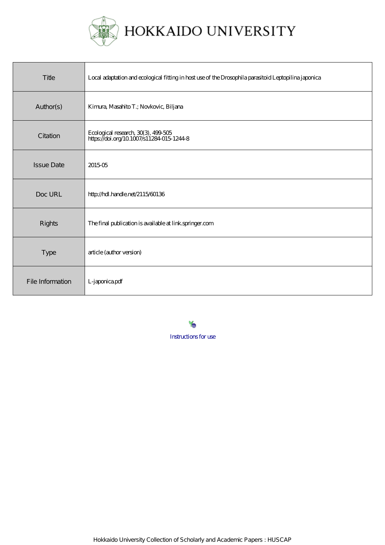

HOKKAIDO UNIVERSITY

| Title             | Local adaptation and ecological fitting in host use of the Drosophila parasitoid Leptopilina japonica |
|-------------------|-------------------------------------------------------------------------------------------------------|
| Author(s)         | Kimura, Masahito T.; Novkovic, Biljana                                                                |
| Citation          | Ecological research, 30(3), 499-505<br>https://doi.org/10.1007/s11284-015-1244-8                      |
| <b>Issue Date</b> | 201505                                                                                                |
| Doc URL           | http://hdl.handle.net/2115/60136                                                                      |
| Rights            | The final publication is available at link springer.com                                               |
| Type              | article (author version)                                                                              |
| File Information  | L-japonica pdf                                                                                        |

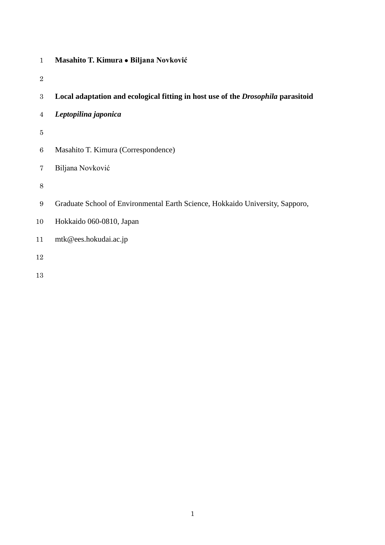- **Masahito T. Kimura Biljana Novković**
- 
- **Local adaptation and ecological fitting in host use of the** *Drosophila* **parasitoid**
- *Leptopilina japonica*
- 
- Masahito T. Kimura (Correspondence)
- Biljana Novković
- 
- Graduate School of Environmental Earth Science, Hokkaido University, Sapporo,
- Hokkaido 060-0810, Japan
- [mtk@ees.hokudai.ac.jp](mailto:mtk@ees.hokudai.ac.jp)
-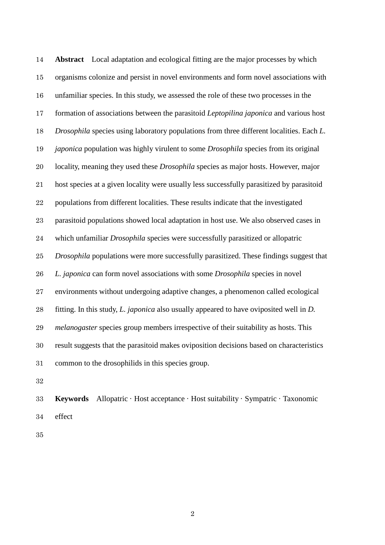**Abstract** Local adaptation and ecological fitting are the major processes by which organisms colonize and persist in novel environments and form novel associations with unfamiliar species. In this study, we assessed the role of these two processes in the formation of associations between the parasitoid *Leptopilina japonica* and various host *Drosophila* species using laboratory populations from three different localities. Each *L. japonica* population was highly virulent to some *Drosophila* species from its original locality, meaning they used these *Drosophila* species as major hosts. However, major host species at a given locality were usually less successfully parasitized by parasitoid populations from different localities. These results indicate that the investigated parasitoid populations showed local adaptation in host use. We also observed cases in which unfamiliar *Drosophila* species were successfully parasitized or allopatric *Drosophila* populations were more successfully parasitized. These findings suggest that *L. japonica* can form novel associations with some *Drosophila* species in novel environments without undergoing adaptive changes, a phenomenon called ecological fitting. In this study, *L. japonica* also usually appeared to have oviposited well in *D. melanogaster* species group members irrespective of their suitability as hosts. This result suggests that the parasitoid makes oviposition decisions based on characteristics common to the drosophilids in this species group.

 **Keywords** Allopatric · Host acceptance · Host suitability · Sympatric · Taxonomic effect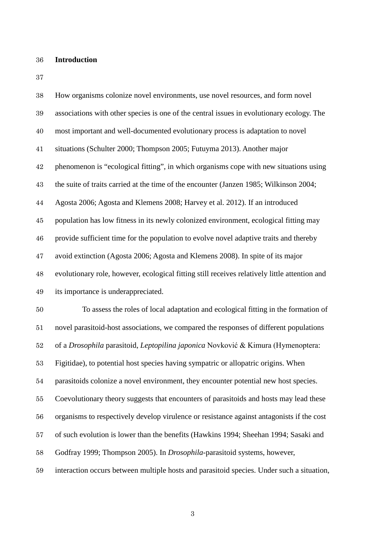**Introduction**

| 38     | How organisms colonize novel environments, use novel resources, and form novel                |
|--------|-----------------------------------------------------------------------------------------------|
| 39     | associations with other species is one of the central issues in evolutionary ecology. The     |
| 40     | most important and well-documented evolutionary process is adaptation to novel                |
| 41     | situations (Schulter 2000; Thompson 2005; Futuyma 2013). Another major                        |
| 42     | phenomenon is "ecological fitting", in which organisms cope with new situations using         |
| 43     | the suite of traits carried at the time of the encounter (Janzen 1985; Wilkinson 2004;        |
| 44     | Agosta 2006; Agosta and Klemens 2008; Harvey et al. 2012). If an introduced                   |
| $45\,$ | population has low fitness in its newly colonized environment, ecological fitting may         |
| 46     | provide sufficient time for the population to evolve novel adaptive traits and thereby        |
| $47\,$ | avoid extinction (Agosta 2006; Agosta and Klemens 2008). In spite of its major                |
| 48     | evolutionary role, however, ecological fitting still receives relatively little attention and |
| 49     | its importance is underappreciated.                                                           |
| $50\,$ | To assess the roles of local adaptation and ecological fitting in the formation of            |
| 51     | novel parasitoid-host associations, we compared the responses of different populations        |
| $52\,$ | of a Drosophila parasitoid, Leptopilina japonica Novković & Kimura (Hymenoptera:              |
| $53\,$ | Figitidae), to potential host species having sympatric or allopatric origins. When            |
| $54\,$ | parasitoids colonize a novel environment, they encounter potential new host species.          |
| $55\,$ | Coevolutionary theory suggests that encounters of parasitoids and hosts may lead these        |
| 56     | organisms to respectively develop virulence or resistance against antagonists if the cost     |
| 57     | of such evolution is lower than the benefits (Hawkins 1994; Sheehan 1994; Sasaki and          |
| 58     | Godfray 1999; Thompson 2005). In <i>Drosophila</i> -parasitoid systems, however,              |
| 59     | interaction occurs between multiple hosts and parasitoid species. Under such a situation,     |
|        |                                                                                               |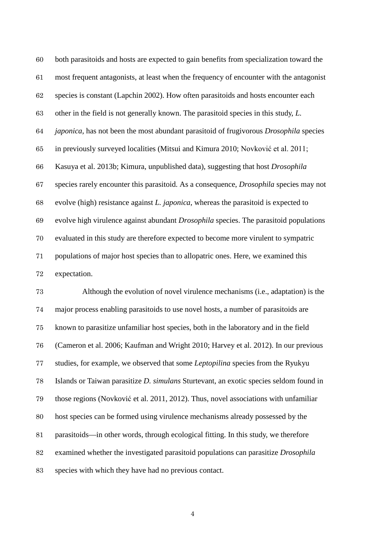both parasitoids and hosts are expected to gain benefits from specialization toward the most frequent antagonists, at least when the frequency of encounter with the antagonist species is constant (Lapchin 2002). How often parasitoids and hosts encounter each other in the field is not generally known. The parasitoid species in this study, *L. japonica*, has not been the most abundant parasitoid of frugivorous *Drosophila* species in previously surveyed localities (Mitsui and Kimura 2010; Novković et al. 2011; Kasuya et al. 2013b; Kimura, unpublished data), suggesting that host *Drosophila* species rarely encounter this parasitoid. As a consequence, *Drosophila* species may not evolve (high) resistance against *L. japonica*, whereas the parasitoid is expected to evolve high virulence against abundant *Drosophila* species. The parasitoid populations evaluated in this study are therefore expected to become more virulent to sympatric populations of major host species than to allopatric ones. Here, we examined this expectation.

 Although the evolution of novel virulence mechanisms (i.e., adaptation) is the major process enabling parasitoids to use novel hosts, a number of parasitoids are known to parasitize unfamiliar host species, both in the laboratory and in the field (Cameron et al. 2006; Kaufman and Wright 2010; Harvey et al. 2012). In our previous studies, for example, we observed that some *Leptopilina* species from the Ryukyu Islands or Taiwan parasitize *D. simulans* Sturtevant, an exotic species seldom found in those regions (Novković et al. 2011, 2012). Thus, novel associations with unfamiliar host species can be formed using virulence mechanisms already possessed by the parasitoids—in other words, through ecological fitting. In this study, we therefore examined whether the investigated parasitoid populations can parasitize *Drosophila* species with which they have had no previous contact.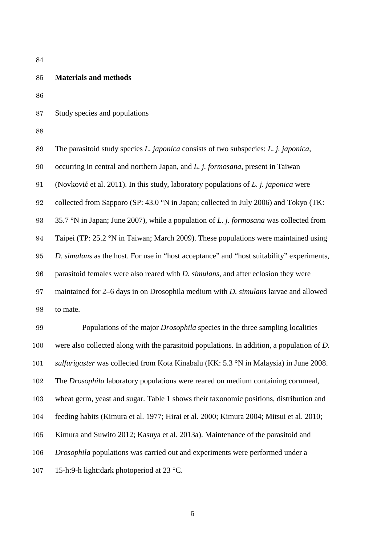## **Materials and methods**

Study species and populations

The parasitoid study species *L. japonica* consists of two subspecies: *L. j. japonica*,

occurring in central and northern Japan, and *L. j. formosana*, present in Taiwan

(Novković et al. 2011). In this study, laboratory populations of *L. j. japonica* were

collected from Sapporo (SP: 43.0 °N in Japan; collected in July 2006) and Tokyo (TK:

35.7 °N in Japan; June 2007), while a population of *L. j. formosana* was collected from

Taipei (TP: 25.2 °N in Taiwan; March 2009). These populations were maintained using

*D. simulans* as the host. For use in "host acceptance" and "host suitability" experiments,

parasitoid females were also reared with *D. simulans*, and after eclosion they were

maintained for 2–6 days in on Drosophila medium with *D. simulans* larvae and allowed

to mate.

 Populations of the major *Drosophila* species in the three sampling localities were also collected along with the parasitoid populations. In addition, a population of *D. sulfurigaster* was collected from Kota Kinabalu (KK: 5.3 °N in Malaysia) in June 2008. The *Drosophila* laboratory populations were reared on medium containing cornmeal, wheat germ, yeast and sugar. Table 1 shows their taxonomic positions, distribution and feeding habits (Kimura et al. 1977; Hirai et al. 2000; Kimura 2004; Mitsui et al. 2010; Kimura and Suwito 2012; Kasuya et al. 2013a). Maintenance of the parasitoid and *Drosophila* populations was carried out and experiments were performed under a 15-h:9-h light:dark photoperiod at 23 °C.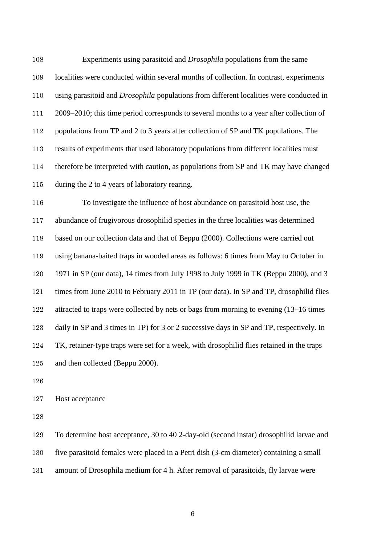Experiments using parasitoid and *Drosophila* populations from the same localities were conducted within several months of collection. In contrast, experiments using parasitoid and *Drosophila* populations from different localities were conducted in 2009–2010; this time period corresponds to several months to a year after collection of 112 populations from TP and 2 to 3 years after collection of SP and TK populations. The results of experiments that used laboratory populations from different localities must therefore be interpreted with caution, as populations from SP and TK may have changed during the 2 to 4 years of laboratory rearing.

 To investigate the influence of host abundance on parasitoid host use, the abundance of frugivorous drosophilid species in the three localities was determined based on our collection data and that of Beppu (2000). Collections were carried out using banana-baited traps in wooded areas as follows: 6 times from May to October in 1971 in SP (our data), 14 times from July 1998 to July 1999 in TK (Beppu 2000), and 3 times from June 2010 to February 2011 in TP (our data). In SP and TP, drosophilid flies attracted to traps were collected by nets or bags from morning to evening (13–16 times daily in SP and 3 times in TP) for 3 or 2 successive days in SP and TP, respectively. In TK, retainer-type traps were set for a week, with drosophilid flies retained in the traps and then collected (Beppu 2000).

Host acceptance

To determine host acceptance, 30 to 40 2-day-old (second instar) drosophilid larvae and

five parasitoid females were placed in a Petri dish (3-cm diameter) containing a small

amount of Drosophila medium for 4 h. After removal of parasitoids, fly larvae were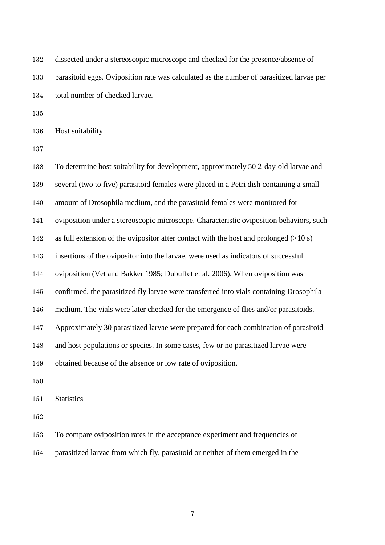| 132 | dissected under a stereoscopic microscope and checked for the presence/absence of        |
|-----|------------------------------------------------------------------------------------------|
| 133 | parasitoid eggs. Oviposition rate was calculated as the number of parasitized larvae per |
| 134 | total number of checked larvae.                                                          |

Host suitability

 To determine host suitability for development, approximately 50 2-day-old larvae and several (two to five) parasitoid females were placed in a Petri dish containing a small amount of Drosophila medium, and the parasitoid females were monitored for oviposition under a stereoscopic microscope. Characteristic oviposition behaviors, such as full extension of the ovipositor after contact with the host and prolonged (>10 s) insertions of the ovipositor into the larvae, were used as indicators of successful oviposition (Vet and Bakker 1985; Dubuffet et al. 2006). When oviposition was confirmed, the parasitized fly larvae were transferred into vials containing Drosophila medium. The vials were later checked for the emergence of flies and/or parasitoids. Approximately 30 parasitized larvae were prepared for each combination of parasitoid and host populations or species. In some cases, few or no parasitized larvae were obtained because of the absence or low rate of oviposition. Statistics

To compare oviposition rates in the acceptance experiment and frequencies of

parasitized larvae from which fly, parasitoid or neither of them emerged in the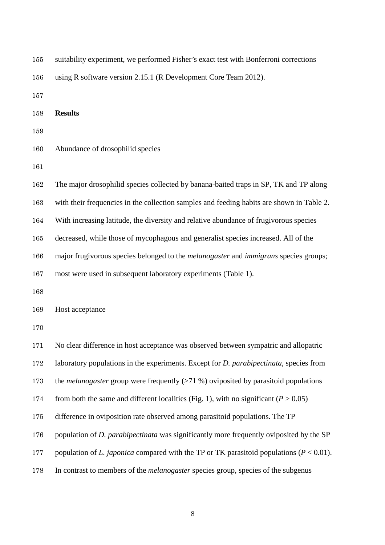| 155 | suitability experiment, we performed Fisher's exact test with Bonferroni corrections               |
|-----|----------------------------------------------------------------------------------------------------|
| 156 | using R software version 2.15.1 (R Development Core Team 2012).                                    |
| 157 |                                                                                                    |
| 158 | <b>Results</b>                                                                                     |
| 159 |                                                                                                    |
| 160 | Abundance of drosophilid species                                                                   |
| 161 |                                                                                                    |
| 162 | The major drosophilid species collected by banana-baited traps in SP, TK and TP along              |
| 163 | with their frequencies in the collection samples and feeding habits are shown in Table 2.          |
| 164 | With increasing latitude, the diversity and relative abundance of frugivorous species              |
| 165 | decreased, while those of mycophagous and generalist species increased. All of the                 |
| 166 | major frugivorous species belonged to the <i>melanogaster</i> and <i>immigrans</i> species groups; |
| 167 | most were used in subsequent laboratory experiments (Table 1).                                     |
| 168 |                                                                                                    |
| 169 | Host acceptance                                                                                    |
| 170 |                                                                                                    |
| 171 | No clear difference in host acceptance was observed between sympatric and allopatric               |
| 172 | laboratory populations in the experiments. Except for <i>D. parabipectinata</i> , species from     |
| 173 | the <i>melanogaster</i> group were frequently $(>71 \%)$ oviposited by parasitoid populations      |
| 174 | from both the same and different localities (Fig. 1), with no significant ( $P > 0.05$ )           |
| 175 | difference in oviposition rate observed among parasitoid populations. The TP                       |
| 176 | population of <i>D. parabipectinata</i> was significantly more frequently oviposited by the SP     |
| 177 | population of L. japonica compared with the TP or TK parasitoid populations ( $P < 0.01$ ).        |
| 178 | In contrast to members of the <i>melanogaster</i> species group, species of the subgenus           |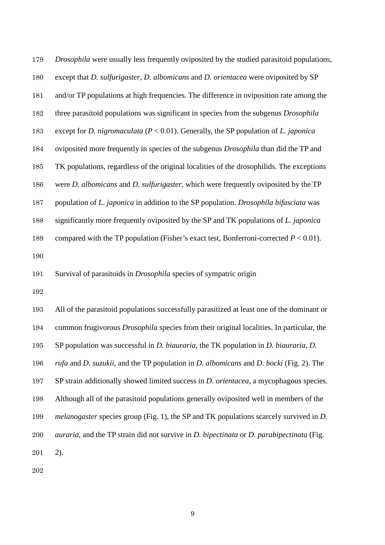| 179 | <i>Drosophila</i> were usually less frequently oviposited by the studied parasitoid populations,           |
|-----|------------------------------------------------------------------------------------------------------------|
| 180 | except that D. sulfurigaster, D. albomicans and D. orientacea were oviposited by SP                        |
| 181 | and/or TP populations at high frequencies. The difference in oviposition rate among the                    |
| 182 | three parasitoid populations was significant in species from the subgenus Drosophila                       |
| 183 | except for <i>D. nigromaculata</i> ( $P < 0.01$ ). Generally, the SP population of <i>L. japonica</i>      |
| 184 | oviposited more frequently in species of the subgenus Drosophila than did the TP and                       |
| 185 | TK populations, regardless of the original localities of the drosophilids. The exceptions                  |
| 186 | were <i>D. albomicans</i> and <i>D. sulfurigaster</i> , which were frequently oviposited by the TP         |
| 187 | population of L. japonica in addition to the SP population. Drosophila bifasciata was                      |
| 188 | significantly more frequently oviposited by the SP and TK populations of L. japonica                       |
| 189 | compared with the TP population (Fisher's exact test, Bonferroni-corrected $P < 0.01$ ).                   |
| 190 |                                                                                                            |
| 191 | Survival of parasitoids in <i>Drosophila</i> species of sympatric origin                                   |
| 192 |                                                                                                            |
| 193 | All of the parasitoid populations successfully parasitized at least one of the dominant or                 |
| 194 | common frugivorous <i>Drosophila</i> species from their original localities. In particular, the            |
| 195 | SP population was successful in <i>D. biauraria</i> , the TK population in <i>D. biauraria</i> , <i>D.</i> |

*rufa* and *D. suzukii*, and the TP population in *D. albomicans* and *D. bocki* (Fig. 2). The

SP strain additionally showed limited success in *D. orientacea*, a mycophagous species.

Although all of the parasitoid populations generally oviposited well in members of the

*melanogaster* species group (Fig. 1), the SP and TK populations scarcely survived in *D.* 

*auraria*, and the TP strain did not survive in *D. bipectinata* or *D. parabipectinata* (Fig.

2).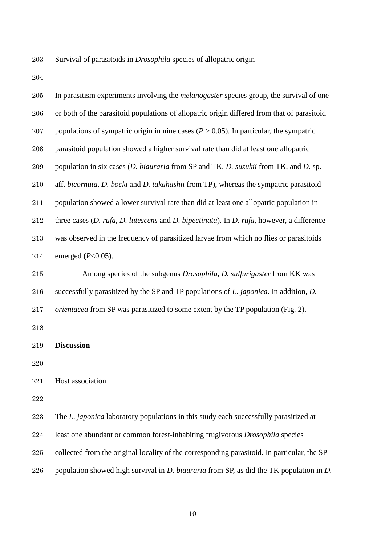Survival of parasitoids in *Drosophila* species of allopatric origin

| $205\,$ | In parasitism experiments involving the <i>melanogaster</i> species group, the survival of one         |
|---------|--------------------------------------------------------------------------------------------------------|
| 206     | or both of the parasitoid populations of allopatric origin differed from that of parasitoid            |
| $207\,$ | populations of sympatric origin in nine cases ( $P > 0.05$ ). In particular, the sympatric             |
| 208     | parasitoid population showed a higher survival rate than did at least one allopatric                   |
| 209     | population in six cases (D. biauraria from SP and TK, D. suzukii from TK, and D. sp.                   |
| $210\,$ | aff. bicornuta, D. bocki and D. takahashii from TP), whereas the sympatric parasitoid                  |
| 211     | population showed a lower survival rate than did at least one allopatric population in                 |
| $212\,$ | three cases $(D. rufa, D. lutescens$ and $D. bipertinata)$ . In $D. rufa$ , however, a difference      |
| 213     | was observed in the frequency of parasitized larvae from which no flies or parasitoids                 |
| 214     | emerged $(P<0.05)$ .                                                                                   |
| 215     | Among species of the subgenus Drosophila, D. sulfurigaster from KK was                                 |
| 216     | successfully parasitized by the SP and TP populations of L. japonica. In addition, D.                  |
| 217     | <i>orientacea</i> from SP was parasitized to some extent by the TP population (Fig. 2).                |
| 218     |                                                                                                        |
| 219     | <b>Discussion</b>                                                                                      |
| 220     |                                                                                                        |
| 221     | Host association                                                                                       |
| 222     |                                                                                                        |
| 223     | The L. japonica laboratory populations in this study each successfully parasitized at                  |
| 224     | least one abundant or common forest-inhabiting frugivorous Drosophila species                          |
| 225     | collected from the original locality of the corresponding parasitoid. In particular, the SP            |
| 226     | population showed high survival in <i>D. biauraria</i> from SP, as did the TK population in <i>D</i> . |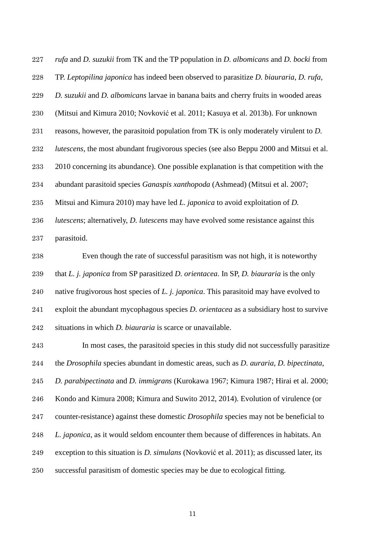*rufa* and *D. suzukii* from TK and the TP population in *D. albomicans* and *D. bocki* from TP. *Leptopilina japonica* has indeed been observed to parasitize *D. biauraria*, *D. rufa*, *D. suzukii* and *D. albomicans* larvae in banana baits and cherry fruits in wooded areas (Mitsui and Kimura 2010; Novković et al. 2011; Kasuya et al. 2013b). For unknown reasons, however, the parasitoid population from TK is only moderately virulent to *D. lutescens*, the most abundant frugivorous species (see also Beppu 2000 and Mitsui et al. 2010 concerning its abundance). One possible explanation is that competition with the abundant parasitoid species *Ganaspis xanthopoda* (Ashmead) (Mitsui et al. 2007; Mitsui and Kimura 2010) may have led *L. japonica* to avoid exploitation of *D. lutescens*; alternatively, *D. lutescens* may have evolved some resistance against this parasitoid.

 Even though the rate of successful parasitism was not high, it is noteworthy that *L. j. japonica* from SP parasitized *D. orientacea*. In SP, *D. biauraria* is the only native frugivorous host species of *L. j. japonica*. This parasitoid may have evolved to exploit the abundant mycophagous species *D. orientacea* as a subsidiary host to survive situations in which *D. biauraria* is scarce or unavailable.

 In most cases, the parasitoid species in this study did not successfully parasitize the *Drosophila* species abundant in domestic areas, such as *D. auraria*, *D. bipectinata*, *D. parabipectinata* and *D. immigrans* (Kurokawa 1967; Kimura 1987; Hirai et al. 2000; Kondo and Kimura 2008; Kimura and Suwito 2012, 2014). Evolution of virulence (or counter-resistance) against these domestic *Drosophila* species may not be beneficial to *L. japonica*, as it would seldom encounter them because of differences in habitats. An exception to this situation is *D. simulans* (Novković et al. 2011); as discussed later, its successful parasitism of domestic species may be due to ecological fitting.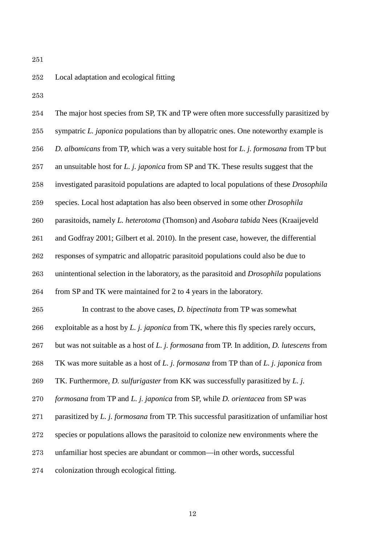## Local adaptation and ecological fitting

| 254     | The major host species from SP, TK and TP were often more successfully parasitized by          |
|---------|------------------------------------------------------------------------------------------------|
| 255     | sympatric L. japonica populations than by allopatric ones. One noteworthy example is           |
| 256     | D. albomicans from TP, which was a very suitable host for L. j. formosana from TP but          |
| 257     | an unsuitable host for L. j. japonica from SP and TK. These results suggest that the           |
| 258     | investigated parasitoid populations are adapted to local populations of these Drosophila       |
| 259     | species. Local host adaptation has also been observed in some other Drosophila                 |
| 260     | parasitoids, namely L. heterotoma (Thomson) and Asobara tabida Nees (Kraaijeveld               |
| $261\,$ | and Godfray 2001; Gilbert et al. 2010). In the present case, however, the differential         |
| 262     | responses of sympatric and allopatric parasitoid populations could also be due to              |
| 263     | unintentional selection in the laboratory, as the parasitoid and <i>Drosophila</i> populations |
| 264     | from SP and TK were maintained for 2 to 4 years in the laboratory.                             |
| 265     | In contrast to the above cases, <i>D. bipectinata</i> from TP was somewhat                     |
| 266     | exploitable as a host by L. j. japonica from TK, where this fly species rarely occurs,         |
| 267     | but was not suitable as a host of L. j. formosana from TP. In addition, D. lutescens from      |
| 268     | TK was more suitable as a host of L. j. formosana from TP than of L. j. japonica from          |
| 269     | TK. Furthermore, <i>D. sulfurigaster</i> from KK was successfully parasitized by <i>L. j.</i>  |
| $270\,$ | formosana from TP and L. j. japonica from SP, while D. orientacea from SP was                  |
| 271     | parasitized by L. j. formosana from TP. This successful parasitization of unfamiliar host      |
| 272     | species or populations allows the parasitoid to colonize new environments where the            |
| 273     | unfamiliar host species are abundant or common—in other words, successful                      |
| 274     | colonization through ecological fitting.                                                       |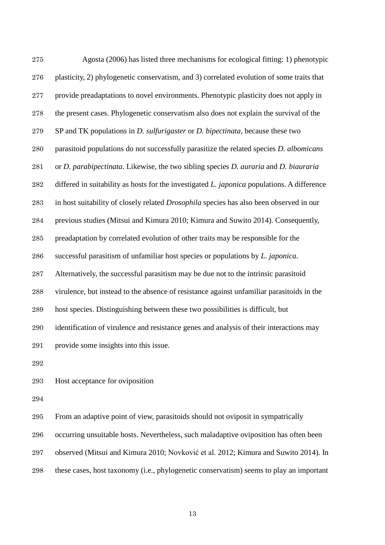| 275 | Agosta (2006) has listed three mechanisms for ecological fitting: 1) phenotypic                       |
|-----|-------------------------------------------------------------------------------------------------------|
| 276 | plasticity, 2) phylogenetic conservatism, and 3) correlated evolution of some traits that             |
| 277 | provide preadaptations to novel environments. Phenotypic plasticity does not apply in                 |
| 278 | the present cases. Phylogenetic conservatism also does not explain the survival of the                |
| 279 | SP and TK populations in <i>D. sulfurigaster</i> or <i>D. bipectinata</i> , because these two         |
| 280 | parasitoid populations do not successfully parasitize the related species <i>D. albomicans</i>        |
| 281 | or D. parabipectinata. Likewise, the two sibling species D. auraria and D. biauraria                  |
| 282 | differed in suitability as hosts for the investigated $L$ . <i>japonica</i> populations. A difference |
| 283 | in host suitability of closely related <i>Drosophila</i> species has also been observed in our        |
| 284 | previous studies (Mitsui and Kimura 2010; Kimura and Suwito 2014). Consequently,                      |
| 285 | preadaptation by correlated evolution of other traits may be responsible for the                      |
| 286 | successful parasitism of unfamiliar host species or populations by L. japonica.                       |
| 287 | Alternatively, the successful parasitism may be due not to the intrinsic parasitoid                   |
| 288 | virulence, but instead to the absence of resistance against unfamiliar parasitoids in the             |
| 289 | host species. Distinguishing between these two possibilities is difficult, but                        |
| 290 | identification of virulence and resistance genes and analysis of their interactions may               |
| 291 | provide some insights into this issue.                                                                |
| 292 |                                                                                                       |
| 293 | Host acceptance for oviposition                                                                       |

From an adaptive point of view, parasitoids should not oviposit in sympatrically

occurring unsuitable hosts. Nevertheless, such maladaptive oviposition has often been

observed (Mitsui and Kimura 2010; Novković et al. 2012; Kimura and Suwito 2014). In

these cases, host taxonomy (i.e., phylogenetic conservatism) seems to play an important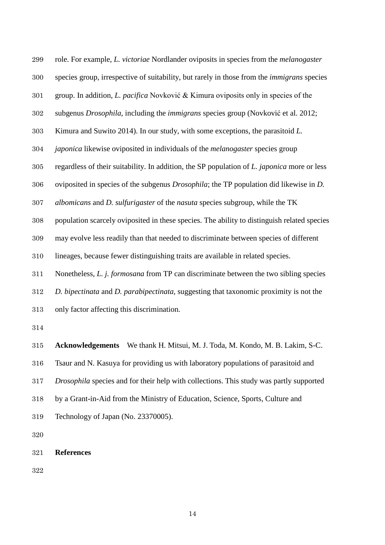role. For example, *L. victoriae* Nordlander oviposits in species from the *melanogaster* species group, irrespective of suitability, but rarely in those from the *immigrans* species group. In addition, *L. pacifica* Novković & Kimura oviposits only in species of the subgenus *Drosophila*, including the *immigrans* species group (Novković et al. 2012; Kimura and Suwito 2014). In our study, with some exceptions, the parasitoid *L. japonica* likewise oviposited in individuals of the *melanogaster* species group regardless of their suitability. In addition, the SP population of *L. japonica* more or less oviposited in species of the subgenus *Drosophila*; the TP population did likewise in *D. albomicans* and *D. sulfurigaster* of the *nasuta* species subgroup, while the TK population scarcely oviposited in these species. The ability to distinguish related species may evolve less readily than that needed to discriminate between species of different lineages, because fewer distinguishing traits are available in related species. Nonetheless, *L. j. formosana* from TP can discriminate between the two sibling species *D. bipectinata* and *D. parabipectinata*, suggesting that taxonomic proximity is not the only factor affecting this discrimination. **Acknowledgements** We thank H. Mitsui, M. J. Toda, M. Kondo, M. B. Lakim, S-C. Tsaur and N. Kasuya for providing us with laboratory populations of parasitoid and *Drosophila* species and for their help with collections. This study was partly supported

- by a Grant-in-Aid from the Ministry of Education, Science, Sports, Culture and
- Technology of Japan (No. 23370005).

**References**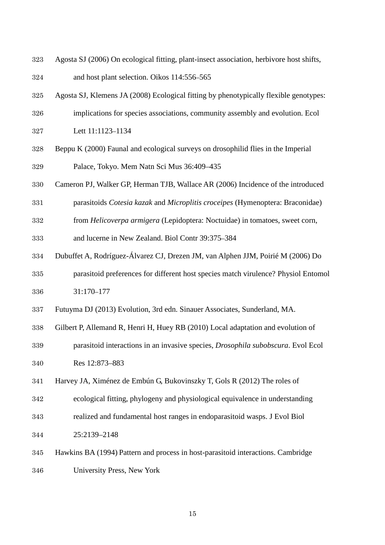- Agosta SJ (2006) On ecological fitting, plant-insect association, herbivore host shifts,
- and host plant selection. Oikos 114:556–565
- Agosta SJ, Klemens JA (2008) Ecological fitting by phenotypically flexible genotypes:
- implications for species associations, community assembly and evolution. Ecol
- Lett 11:1123–1134
- Beppu K (2000) Faunal and ecological surveys on drosophilid flies in the Imperial Palace, Tokyo. Mem Natn Sci Mus 36:409–435
- Cameron PJ, Walker GP, Herman TJB, Wallace AR (2006) Incidence of the introduced
- parasitoids *Cotesia kazak* and *Microplitis croceipes* (Hymenoptera: Braconidae)
- from *Helicoverpa armigera* (Lepidoptera: Noctuidae) in tomatoes, sweet corn,
- and lucerne in New Zealand. Biol Contr 39:375–384
- Dubuffet A, Rodríguez-Álvarez CJ, Drezen JM, van Alphen JJM, Poirié M (2006) Do parasitoid preferences for different host species match virulence? Physiol Entomol
- 31:170–177
- Futuyma DJ (2013) Evolution, 3rd edn. Sinauer Associates, Sunderland, MA.
- Gilbert P, Allemand R, Henri H, Huey RB (2010) Local adaptation and evolution of
- parasitoid interactions in an invasive species, *Drosophila subobscura*. Evol Ecol Res 12:873–883
- Harvey JA, Ximénez de Embún G, Bukovinszky T, Gols R (2012) The roles of
- ecological fitting, phylogeny and physiological equivalence in understanding
- realized and fundamental host ranges in endoparasitoid wasps. J Evol Biol
- 25:2139–2148
- Hawkins BA (1994) Pattern and process in host-parasitoid interactions. Cambridge University Press, New York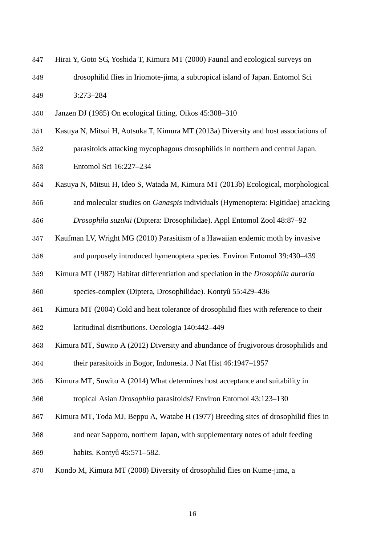- Hirai Y, Goto SG, Yoshida T, Kimura MT (2000) Faunal and ecological surveys on drosophilid flies in Iriomote-jima, a subtropical island of Japan. Entomol Sci 3:273–284
- Janzen DJ (1985) On ecological fitting. Oikos 45:308–310
- Kasuya N, Mitsui H, Aotsuka T, Kimura MT (2013a) Diversity and host associations of
- parasitoids attacking mycophagous drosophilids in northern and central Japan. Entomol Sci 16:227–234
- Kasuya N, Mitsui H, Ideo S, Watada M, Kimura MT (2013b) Ecological, morphological
- and molecular studies on *Ganaspis* individuals (Hymenoptera: Figitidae) attacking

*Drosophila suzukii* (Diptera: Drosophilidae). Appl Entomol Zool 48:87–92

- Kaufman LV, Wright MG (2010) Parasitism of a Hawaiian endemic moth by invasive
- and purposely introduced hymenoptera species. Environ Entomol 39:430–439
- Kimura MT (1987) Habitat differentiation and speciation in the *Drosophila auraria*

species-complex (Diptera, Drosophilidae). Kontyû 55:429–436

- Kimura MT (2004) Cold and heat tolerance of drosophilid flies with reference to their
- latitudinal distributions. Oecologia 140:442–449
- Kimura MT, Suwito A (2012) Diversity and abundance of frugivorous drosophilids and their parasitoids in Bogor, Indonesia. J Nat Hist 46:1947–1957
- Kimura MT, Suwito A (2014) What determines host acceptance and suitability in
- tropical Asian *Drosophila* parasitoids? Environ Entomol 43:123–130
- Kimura MT, Toda MJ, Beppu A, Watabe H (1977) Breeding sites of drosophilid flies in
- and near Sapporo, northern Japan, with supplementary notes of adult feeding habits. Kontyû 45:571–582.
- Kondo M, Kimura MT (2008) Diversity of drosophilid flies on Kume-jima, a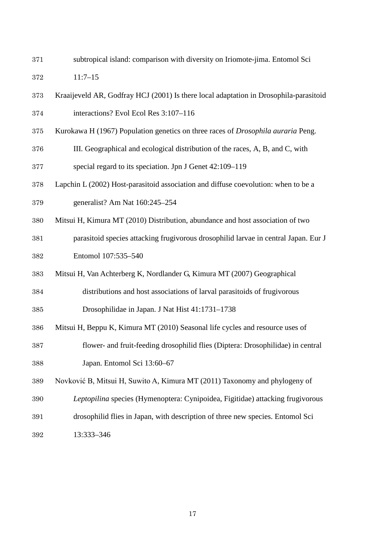subtropical island: comparison with diversity on Iriomote-jima. Entomol Sci

11:7–15

- Kraaijeveld AR, Godfray HCJ (2001) Is there local adaptation in Drosophila-parasitoid interactions? Evol Ecol Res 3:107–116
- Kurokawa H (1967) Population genetics on three races of *Drosophila auraria* Peng.
- III. Geographical and ecological distribution of the races, A, B, and C, with special regard to its speciation. Jpn J Genet 42:109–119
- Lapchin L (2002) Host-parasitoid association and diffuse coevolution: when to be a generalist? Am Nat 160:245–254
- Mitsui H, Kimura MT (2010) Distribution, abundance and host association of two
- parasitoid species attacking frugivorous drosophilid larvae in central Japan. Eur J Entomol 107:535–540
- Mitsui H, Van Achterberg K, Nordlander G, Kimura MT (2007) Geographical

distributions and host associations of larval parasitoids of frugivorous

Drosophilidae in Japan. J Nat Hist 41:1731–1738

- Mitsui H, Beppu K, Kimura MT (2010) Seasonal life cycles and resource uses of
- flower- and fruit-feeding drosophilid flies (Diptera: Drosophilidae) in central Japan. Entomol Sci 13:60–67
- Novković B, Mitsui H, Suwito A, Kimura MT (2011) Taxonomy and phylogeny of
- *Leptopilina* species (Hymenoptera: Cynipoidea, Figitidae) attacking frugivorous
- drosophilid flies in Japan, with description of three new species. Entomol Sci
- 13:333–346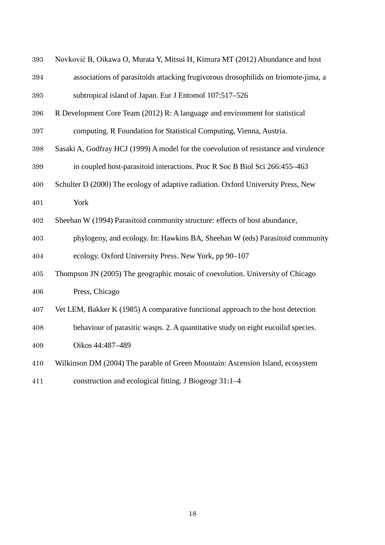| $393\,$ | Novković B, Oikawa O, Murata Y, Mitsui H, Kimura MT (2012) Abundance and host        |
|---------|--------------------------------------------------------------------------------------|
| 394     | associations of parasitoids attacking frugivorous drosophilids on Iriomote-jima, a   |
| 395     | subtropical island of Japan. Eur J Entomol 107:517-526                               |
| 396     | R Development Core Team (2012) R: A language and environment for statistical         |
| 397     | computing. R Foundation for Statistical Computing, Vienna, Austria.                  |
| 398     | Sasaki A, Godfray HCJ (1999) A model for the coevolution of resistance and virulence |
| 399     | in coupled host-parasitoid interactions. Proc R Soc B Biol Sci 266:455-463           |
| 400     | Schulter D (2000) The ecology of adaptive radiation. Oxford University Press, New    |
| 401     | York                                                                                 |
| 402     | Sheehan W (1994) Parasitoid community structure: effects of host abundance,          |
| 403     | phylogeny, and ecology. In: Hawkins BA, Sheehan W (eds) Parasitoid community         |
| 404     | ecology. Oxford University Press. New York, pp 90–107                                |
| 405     | Thompson JN (2005) The geographic mosaic of coevolution. University of Chicago       |
| 406     | Press, Chicago                                                                       |
| 407     | Vet LEM, Bakker K (1985) A comparative functional approach to the host detection     |
| 408     | behaviour of parasitic wasps. 2. A quantitative study on eight eucoilid species.     |
| 409     | Oikos 44:487-489                                                                     |
| 410     | Wilkinson DM (2004) The parable of Green Mountain: Ascension Island, ecosystem       |
| 411     | construction and ecological fitting. J Biogeogr 31:1-4                               |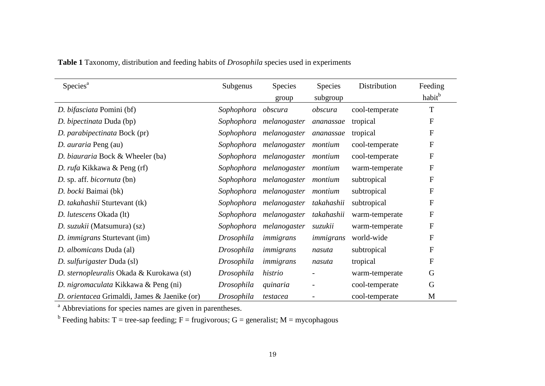| Species <sup>a</sup>                         | Subgenus   | <b>Species</b>          | <b>Species</b> | Distribution   | Feeding                   |
|----------------------------------------------|------------|-------------------------|----------------|----------------|---------------------------|
|                                              |            | group                   | subgroup       |                | habit <sup>b</sup>        |
| D. bifasciata Pomini (bf)                    | Sophophora | obscura                 | obscura        | cool-temperate | T                         |
| D. bipectinata Duda (bp)                     | Sophophora | melanogaster            | ananassae      | tropical       | F                         |
| D. parabipectinata Bock (pr)                 |            | Sophophora melanogaster | ananassae      | tropical       | F                         |
| D. <i>auraria</i> Peng (au)                  |            | Sophophora melanogaster | montium        | cool-temperate | $\boldsymbol{\mathrm{F}}$ |
| D. biauraria Bock & Wheeler (ba)             |            | Sophophora melanogaster | montium        | cool-temperate | $\boldsymbol{\mathrm{F}}$ |
| D. rufa Kikkawa & Peng (rf)                  |            | Sophophora melanogaster | montium        | warm-temperate | F                         |
| D. sp. aff. <i>bicornuta</i> (bn)            |            | Sophophora melanogaster | montium        | subtropical    | F                         |
| D. bocki Baimai (bk)                         |            | Sophophora melanogaster | montium        | subtropical    | F                         |
| D. takahashii Sturtevant (tk)                |            | Sophophora melanogaster | takahashii     | subtropical    | F                         |
| D. lutescens Okada (lt)                      |            | Sophophora melanogaster | takahashii     | warm-temperate | $_{\rm F}$                |
| D. suzukii (Matsumura) (sz)                  | Sophophora | melanogaster            | suzukii        | warm-temperate | $\boldsymbol{\mathrm{F}}$ |
| D. <i>immigrans</i> Sturtevant (im)          | Drosophila | immigrans               | immigrans      | world-wide     | $_{\rm F}$                |
| D. albomicans Duda (al)                      | Drosophila | immigrans               | nasuta         | subtropical    | $_{\rm F}$                |
| D. sulfurigaster Duda (sl)                   | Drosophila | immigrans               | nasuta         | tropical       | $_{\rm F}$                |
| D. sternopleuralis Okada & Kurokawa (st)     | Drosophila | histrio                 |                | warm-temperate | G                         |
| D. nigromaculata Kikkawa & Peng (ni)         | Drosophila | quinaria                |                | cool-temperate | G                         |
| D. orientacea Grimaldi, James & Jaenike (or) | Drosophila | testacea                |                | cool-temperate | M                         |

**Table 1** Taxonomy, distribution and feeding habits of *Drosophila* species used in experiments

<sup>a</sup> Abbreviations for species names are given in parentheses.

<sup>b</sup> Feeding habits: T = tree-sap feeding; F = frugivorous; G = generalist; M = mycophagous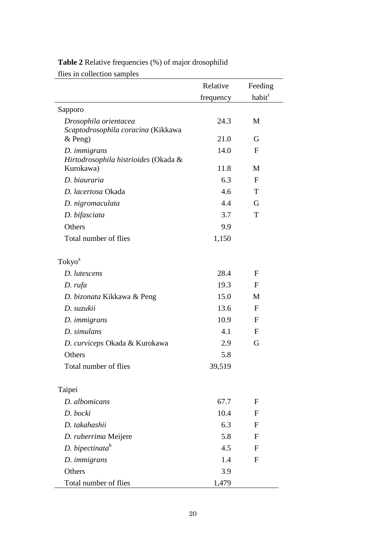| flies in collection samples                                 |           |                    |
|-------------------------------------------------------------|-----------|--------------------|
|                                                             | Relative  | Feeding            |
|                                                             | frequency | habit <sup>c</sup> |
| Sapporo                                                     |           |                    |
| Drosophila orientacea<br>Scaptodrosophila coracina (Kikkawa | 24.3      | M                  |
| $&$ Peng)                                                   | 21.0      | G                  |
| D. immigrans<br>Hirtodrosophila histrioides (Okada &        | 14.0      | $\mathbf{F}$       |
| Kurokawa)                                                   | 11.8      | M                  |
| D. biauraria                                                | 6.3       | $\mathbf{F}$       |
| D. lacertosa Okada                                          | 4.6       | T                  |
| D. nigromaculata                                            | 4.4       | G                  |
| D. bifasciata                                               | 3.7       | T                  |
| Others                                                      | 9.9       |                    |
| Total number of flies                                       | 1,150     |                    |
| Tokyo <sup>a</sup>                                          |           |                    |
| D. lutescens                                                | 28.4      | $\mathbf{F}$       |
| D. rufa                                                     | 19.3      | $\mathbf{F}$       |
| D. bizonata Kikkawa & Peng                                  | 15.0      | M                  |
| D. suzukii                                                  | 13.6      | $\mathbf{F}$       |
| D. immigrans                                                | 10.9      | $\mathbf{F}$       |
| D. simulans                                                 | 4.1       | $\mathbf{F}$       |
| D. curviceps Okada & Kurokawa                               | 2.9       | G                  |
| Others                                                      | 5.8       |                    |
| Total number of flies                                       | 39,519    |                    |
| Taipei                                                      |           |                    |
| D. albomicans                                               | 67.7      | F                  |
| D. bocki                                                    | 10.4      | $\mathbf{F}$       |
| D. takahashii                                               | 6.3       | F                  |
| D. ruberrima Meijere                                        | 5.8       | F                  |
| D. bipectinata <sup>b</sup>                                 | 4.5       | F                  |
| D. <i>immigrans</i>                                         | 1.4       | $\mathbf{F}$       |
| Others                                                      | 3.9       |                    |
| Total number of flies                                       | 1,479     |                    |

## **Table 2** Relative frequencies (%) of major drosophilid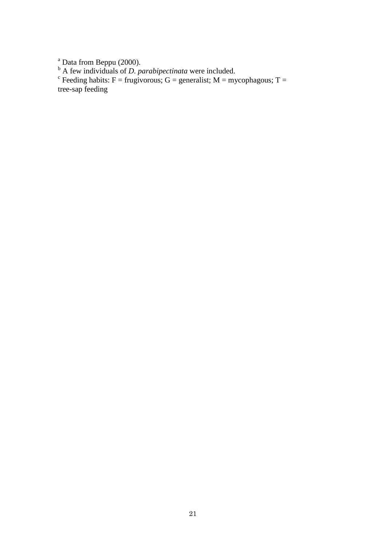$\frac{a}{c}$  Data from Beppu (2000).

<sup>b</sup> A few individuals of *D. parabipectinata* were included.<br><sup>c</sup> Feeding habits: F = frugivorous; G = generalist; M = mycophagous; T = tree-sap feeding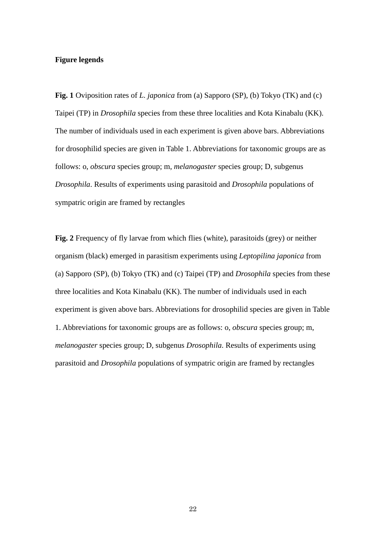## **Figure legends**

**Fig. 1** Oviposition rates of *L. japonica* from (a) Sapporo (SP), (b) Tokyo (TK) and (c) Taipei (TP) in *Drosophila* species from these three localities and Kota Kinabalu (KK). The number of individuals used in each experiment is given above bars. Abbreviations for drosophilid species are given in Table 1. Abbreviations for taxonomic groups are as follows: o, *obscura* species group; m, *melanogaster* species group; D, subgenus *Drosophila*. Results of experiments using parasitoid and *Drosophila* populations of sympatric origin are framed by rectangles

**Fig. 2** Frequency of fly larvae from which flies (white), parasitoids (grey) or neither organism (black) emerged in parasitism experiments using *Leptopilina japonica* from (a) Sapporo (SP), (b) Tokyo (TK) and (c) Taipei (TP) and *Drosophila* species from these three localities and Kota Kinabalu (KK). The number of individuals used in each experiment is given above bars. Abbreviations for drosophilid species are given in Table 1. Abbreviations for taxonomic groups are as follows: o, *obscura* species group; m, *melanogaster* species group; D, subgenus *Drosophila*. Results of experiments using parasitoid and *Drosophila* populations of sympatric origin are framed by rectangles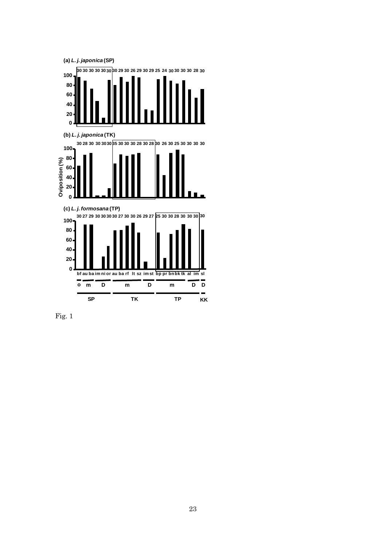

Fig. 1